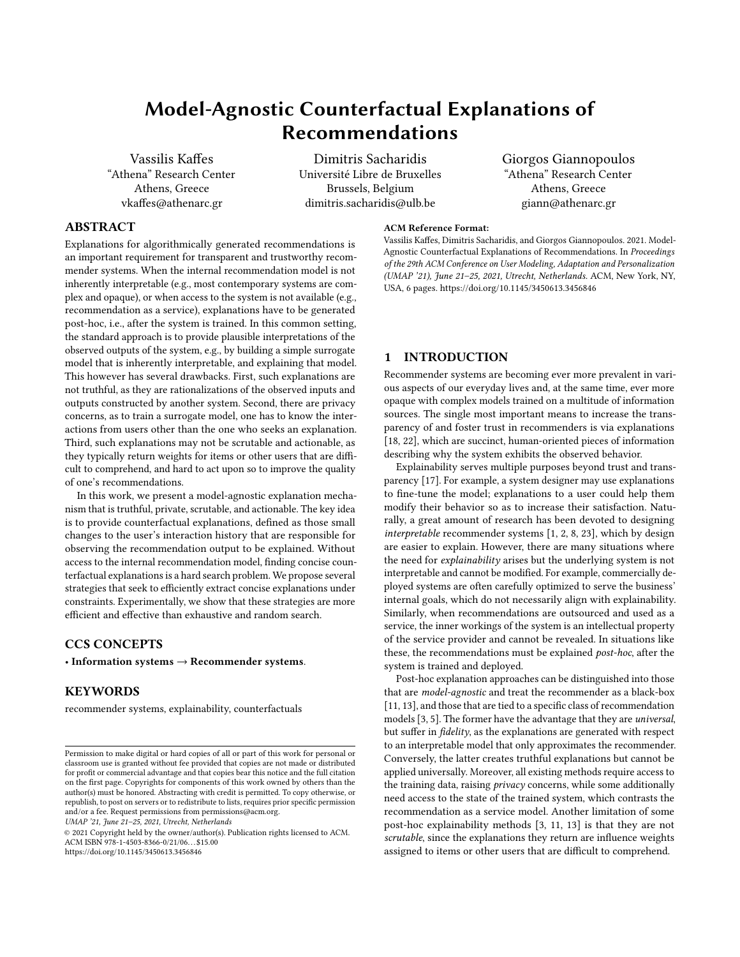# Model-Agnostic Counterfactual Explanations of Recommendations

Vassilis Kaffes "Athena" Research Center Athens, Greece vkaffes@athenarc.gr

[Dimitris Sacharidis](https://orcid.org/0000-0001-5022-1483) Université Libre de Bruxelles Brussels, Belgium dimitris.sacharidis@ulb.be

## ABSTRACT

Explanations for algorithmically generated recommendations is an important requirement for transparent and trustworthy recommender systems. When the internal recommendation model is not inherently interpretable (e.g., most contemporary systems are complex and opaque), or when access to the system is not available (e.g., recommendation as a service), explanations have to be generated post-hoc, i.e., after the system is trained. In this common setting, the standard approach is to provide plausible interpretations of the observed outputs of the system, e.g., by building a simple surrogate model that is inherently interpretable, and explaining that model. This however has several drawbacks. First, such explanations are not truthful, as they are rationalizations of the observed inputs and outputs constructed by another system. Second, there are privacy concerns, as to train a surrogate model, one has to know the interactions from users other than the one who seeks an explanation. Third, such explanations may not be scrutable and actionable, as they typically return weights for items or other users that are difficult to comprehend, and hard to act upon so to improve the quality of one's recommendations.

In this work, we present a model-agnostic explanation mechanism that is truthful, private, scrutable, and actionable. The key idea is to provide counterfactual explanations, defined as those small changes to the user's interaction history that are responsible for observing the recommendation output to be explained. Without access to the internal recommendation model, finding concise counterfactual explanations is a hard search problem. We propose several strategies that seek to efficiently extract concise explanations under constraints. Experimentally, we show that these strategies are more efficient and effective than exhaustive and random search.

#### CCS CONCEPTS

• Information systems  $\rightarrow$  Recommender systems.

#### **KEYWORDS**

recommender systems, explainability, counterfactuals

UMAP '21, June 21–25, 2021, Utrecht, Netherlands

© 2021 Copyright held by the owner/author(s). Publication rights licensed to ACM. ACM ISBN 978-1-4503-8366-0/21/06. . . \$15.00 <https://doi.org/10.1145/3450613.3456846>

#### ACM Reference Format:

Vassilis Kaffes, Dimitris Sacharidis, and Giorgos Giannopoulos. 2021. Model-Agnostic Counterfactual Explanations of Recommendations. In Proceedings of the 29th ACM Conference on User Modeling, Adaptation and Personalization (UMAP '21), June 21–25, 2021, Utrecht, Netherlands. ACM, New York, NY, USA, [6](#page-5-0) pages.<https://doi.org/10.1145/3450613.3456846>

Giorgos Giannopoulos "Athena" Research Center Athens, Greece giann@athenarc.gr

### 1 INTRODUCTION

Recommender systems are becoming ever more prevalent in various aspects of our everyday lives and, at the same time, ever more opaque with complex models trained on a multitude of information sources. The single most important means to increase the transparency of and foster trust in recommenders is via explanations [\[18,](#page-5-1) [22\]](#page-5-2), which are succinct, human-oriented pieces of information describing why the system exhibits the observed behavior.

Explainability serves multiple purposes beyond trust and transparency [\[17\]](#page-5-3). For example, a system designer may use explanations to fine-tune the model; explanations to a user could help them modify their behavior so as to increase their satisfaction. Naturally, a great amount of research has been devoted to designing interpretable recommender systems [\[1,](#page-5-4) [2,](#page-5-5) [8,](#page-5-6) [23\]](#page-5-7), which by design are easier to explain. However, there are many situations where the need for *explainability* arises but the underlying system is not interpretable and cannot be modified. For example, commercially deployed systems are often carefully optimized to serve the business' internal goals, which do not necessarily align with explainability. Similarly, when recommendations are outsourced and used as a service, the inner workings of the system is an intellectual property of the service provider and cannot be revealed. In situations like these, the recommendations must be explained post-hoc, after the system is trained and deployed.

Post-hoc explanation approaches can be distinguished into those that are model-agnostic and treat the recommender as a black-box [\[11,](#page-5-8) [13\]](#page-5-9), and those that are tied to a specific class of recommendation models [\[3,](#page-5-10) [5\]](#page-5-11). The former have the advantage that they are universal, but suffer in fidelity, as the explanations are generated with respect to an interpretable model that only approximates the recommender. Conversely, the latter creates truthful explanations but cannot be applied universally. Moreover, all existing methods require access to the training data, raising *privacy* concerns, while some additionally need access to the state of the trained system, which contrasts the recommendation as a service model. Another limitation of some post-hoc explainability methods [\[3,](#page-5-10) [11,](#page-5-8) [13\]](#page-5-9) is that they are not scrutable, since the explanations they return are influence weights assigned to items or other users that are difficult to comprehend.

Permission to make digital or hard copies of all or part of this work for personal or classroom use is granted without fee provided that copies are not made or distributed for profit or commercial advantage and that copies bear this notice and the full citation on the first page. Copyrights for components of this work owned by others than the author(s) must be honored. Abstracting with credit is permitted. To copy otherwise, or republish, to post on servers or to redistribute to lists, requires prior specific permission and/or a fee. Request permissions from permissions@acm.org.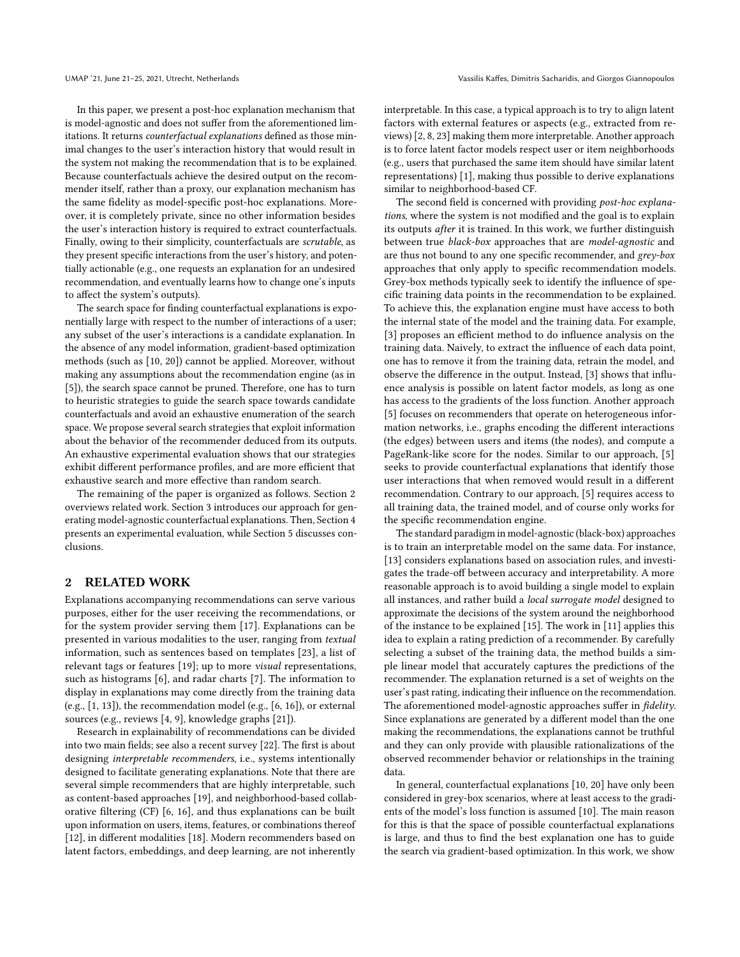In this paper, we present a post-hoc explanation mechanism that is model-agnostic and does not suffer from the aforementioned limitations. It returns counterfactual explanations defined as those minimal changes to the user's interaction history that would result in the system not making the recommendation that is to be explained. Because counterfactuals achieve the desired output on the recommender itself, rather than a proxy, our explanation mechanism has the same fidelity as model-specific post-hoc explanations. Moreover, it is completely private, since no other information besides the user's interaction history is required to extract counterfactuals. Finally, owing to their simplicity, counterfactuals are scrutable, as they present specific interactions from the user's history, and potentially actionable (e.g., one requests an explanation for an undesired recommendation, and eventually learns how to change one's inputs to affect the system's outputs).

The search space for finding counterfactual explanations is exponentially large with respect to the number of interactions of a user; any subset of the user's interactions is a candidate explanation. In the absence of any model information, gradient-based optimization methods (such as [\[10,](#page-5-12) [20\]](#page-5-13)) cannot be applied. Moreover, without making any assumptions about the recommendation engine (as in [\[5\]](#page-5-11)), the search space cannot be pruned. Therefore, one has to turn to heuristic strategies to guide the search space towards candidate counterfactuals and avoid an exhaustive enumeration of the search space. We propose several search strategies that exploit information about the behavior of the recommender deduced from its outputs. An exhaustive experimental evaluation shows that our strategies exhibit different performance profiles, and are more efficient that exhaustive search and more effective than random search.

The remaining of the paper is organized as follows. Section [2](#page-1-0) overviews related work. Section [3](#page-2-0) introduces our approach for generating model-agnostic counterfactual explanations. Then, Section [4](#page-3-0) presents an experimental evaluation, while Section [5](#page-5-14) discusses conclusions.

#### <span id="page-1-0"></span>2 RELATED WORK

Explanations accompanying recommendations can serve various purposes, either for the user receiving the recommendations, or for the system provider serving them [\[17\]](#page-5-3). Explanations can be presented in various modalities to the user, ranging from textual information, such as sentences based on templates [\[23\]](#page-5-7), a list of relevant tags or features [\[19\]](#page-5-15); up to more visual representations, such as histograms [\[6\]](#page-5-16), and radar charts [\[7\]](#page-5-17). The information to display in explanations may come directly from the training data (e.g., [\[1,](#page-5-4) [13\]](#page-5-9)), the recommendation model (e.g., [\[6,](#page-5-16) [16\]](#page-5-18)), or external sources (e.g., reviews [\[4,](#page-5-19) [9\]](#page-5-20), knowledge graphs [\[21\]](#page-5-21)).

Research in explainability of recommendations can be divided into two main fields; see also a recent survey [\[22\]](#page-5-2). The first is about designing interpretable recommenders, i.e., systems intentionally designed to facilitate generating explanations. Note that there are several simple recommenders that are highly interpretable, such as content-based approaches [\[19\]](#page-5-15), and neighborhood-based collaborative filtering (CF) [\[6,](#page-5-16) [16\]](#page-5-18), and thus explanations can be built upon information on users, items, features, or combinations thereof [\[12\]](#page-5-22), in different modalities [\[18\]](#page-5-1). Modern recommenders based on latent factors, embeddings, and deep learning, are not inherently

interpretable. In this case, a typical approach is to try to align latent factors with external features or aspects (e.g., extracted from reviews) [\[2,](#page-5-5) [8,](#page-5-6) [23\]](#page-5-7) making them more interpretable. Another approach is to force latent factor models respect user or item neighborhoods (e.g., users that purchased the same item should have similar latent representations) [\[1\]](#page-5-4), making thus possible to derive explanations similar to neighborhood-based CF.

The second field is concerned with providing post-hoc explanations, where the system is not modified and the goal is to explain its outputs after it is trained. In this work, we further distinguish between true black-box approaches that are model-agnostic and are thus not bound to any one specific recommender, and grey-box approaches that only apply to specific recommendation models. Grey-box methods typically seek to identify the influence of specific training data points in the recommendation to be explained. To achieve this, the explanation engine must have access to both the internal state of the model and the training data. For example, [\[3\]](#page-5-10) proposes an efficient method to do influence analysis on the training data. Naively, to extract the influence of each data point, one has to remove it from the training data, retrain the model, and observe the difference in the output. Instead, [\[3\]](#page-5-10) shows that influence analysis is possible on latent factor models, as long as one has access to the gradients of the loss function. Another approach [\[5\]](#page-5-11) focuses on recommenders that operate on heterogeneous information networks, i.e., graphs encoding the different interactions (the edges) between users and items (the nodes), and compute a PageRank-like score for the nodes. Similar to our approach, [\[5\]](#page-5-11) seeks to provide counterfactual explanations that identify those user interactions that when removed would result in a different recommendation. Contrary to our approach, [\[5\]](#page-5-11) requires access to all training data, the trained model, and of course only works for the specific recommendation engine.

The standard paradigm in model-agnostic (black-box) approaches is to train an interpretable model on the same data. For instance, [\[13\]](#page-5-9) considers explanations based on association rules, and investigates the trade-off between accuracy and interpretability. A more reasonable approach is to avoid building a single model to explain all instances, and rather build a local surrogate model designed to approximate the decisions of the system around the neighborhood of the instance to be explained [\[15\]](#page-5-23). The work in [\[11\]](#page-5-8) applies this idea to explain a rating prediction of a recommender. By carefully selecting a subset of the training data, the method builds a simple linear model that accurately captures the predictions of the recommender. The explanation returned is a set of weights on the user's past rating, indicating their influence on the recommendation. The aforementioned model-agnostic approaches suffer in fidelity. Since explanations are generated by a different model than the one making the recommendations, the explanations cannot be truthful and they can only provide with plausible rationalizations of the observed recommender behavior or relationships in the training data.

In general, counterfactual explanations [\[10,](#page-5-12) [20\]](#page-5-13) have only been considered in grey-box scenarios, where at least access to the gradients of the model's loss function is assumed [\[10\]](#page-5-12). The main reason for this is that the space of possible counterfactual explanations is large, and thus to find the best explanation one has to guide the search via gradient-based optimization. In this work, we show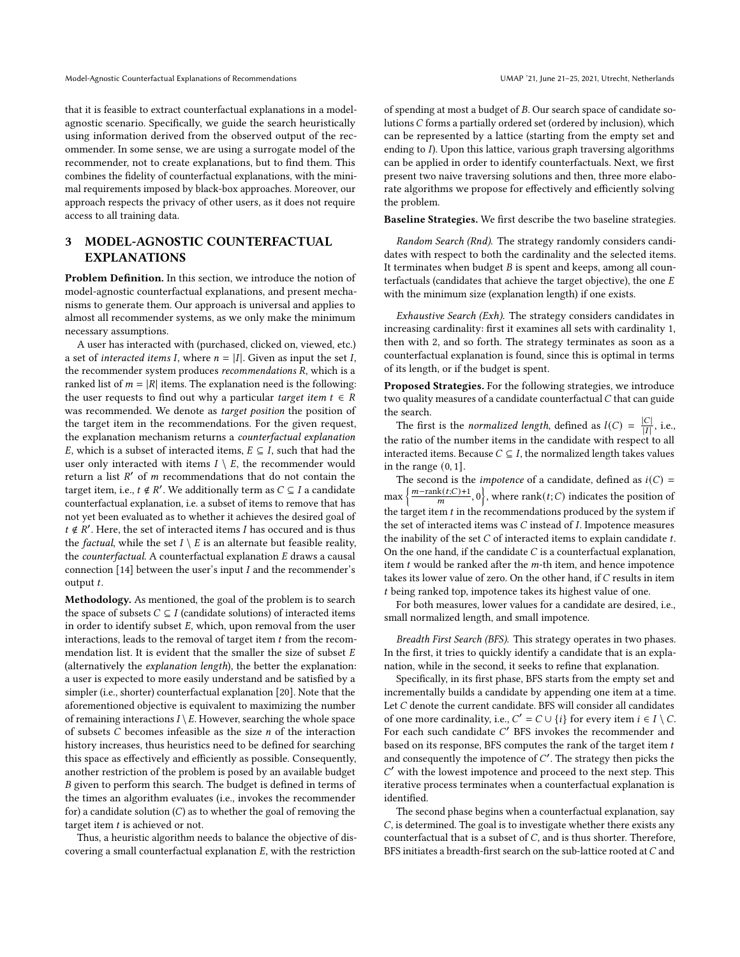that it is feasible to extract counterfactual explanations in a modelagnostic scenario. Specifically, we guide the search heuristically using information derived from the observed output of the recommender. In some sense, we are using a surrogate model of the recommender, not to create explanations, but to find them. This combines the fidelity of counterfactual explanations, with the minimal requirements imposed by black-box approaches. Moreover, our approach respects the privacy of other users, as it does not require access to all training data.

# <span id="page-2-0"></span>3 MODEL-AGNOSTIC COUNTERFACTUAL EXPLANATIONS

Problem Definition. In this section, we introduce the notion of model-agnostic counterfactual explanations, and present mechanisms to generate them. Our approach is universal and applies to almost all recommender systems, as we only make the minimum necessary assumptions.

A user has interacted with (purchased, clicked on, viewed, etc.) a set of *interacted items I*, where  $n = |I|$ . Given as input the set *I*, the recommender system produces  $recommendations R$ , which is a ranked list of  $m = |R|$  items. The explanation need is the following: the user requests to find out why a particular *target item*  $t \in R$ was recommended. We denote as target position the position of the target item in the recommendations. For the given request, the explanation mechanism returns a counterfactual explanation E, which is a subset of interacted items,  $E \subseteq I$ , such that had the user only interacted with items  $I \setminus E$ , the recommender would return a list  $R'$  of  $m$  recommendations that do not contain the target item, i.e.,  $t \notin R'$ . We additionally term as  $C \subseteq I$  a candidate counterfactual explanation, i.e. a subset of items to remove that has not yet been evaluated as to whether it achieves the desired goal of  $t \notin R'$ . Here, the set of interacted items *I* has occured and is thus the *factual*, while the set  $I \setminus E$  is an alternate but feasible reality, the *counterfactual*. A counterfactual explanation  $E$  draws a causal connection  $[14]$  between the user's input  $I$  and the recommender's output t.

Methodology. As mentioned, the goal of the problem is to search the space of subsets  $C \subseteq I$  (candidate solutions) of interacted items in order to identify subset  $E$ , which, upon removal from the user interactions, leads to the removal of target item  $t$  from the recommendation list. It is evident that the smaller the size of subset  $E$ (alternatively the explanation length), the better the explanation: a user is expected to more easily understand and be satisfied by a simpler (i.e., shorter) counterfactual explanation [\[20\]](#page-5-13). Note that the aforementioned objective is equivalent to maximizing the number of remaining interactions  $I \setminus E$ . However, searching the whole space of subsets  $C$  becomes infeasible as the size  $n$  of the interaction history increases, thus heuristics need to be defined for searching this space as effectively and efficiently as possible. Consequently, another restriction of the problem is posed by an available budget B given to perform this search. The budget is defined in terms of the times an algorithm evaluates (i.e., invokes the recommender for) a candidate solution  $(C)$  as to whether the goal of removing the target item  $t$  is achieved or not.

Thus, a heuristic algorithm needs to balance the objective of discovering a small counterfactual explanation  $E$ , with the restriction

of spending at most a budget of B. Our search space of candidate solutions  $C$  forms a partially ordered set (ordered by inclusion), which can be represented by a lattice (starting from the empty set and ending to *I*). Upon this lattice, various graph traversing algorithms can be applied in order to identify counterfactuals. Next, we first present two naive traversing solutions and then, three more elaborate algorithms we propose for effectively and efficiently solving the problem.

Baseline Strategies. We first describe the two baseline strategies.

Random Search (Rnd). The strategy randomly considers candidates with respect to both the cardinality and the selected items. It terminates when budget  $B$  is spent and keeps, among all counterfactuals (candidates that achieve the target objective), the one  $E$ with the minimum size (explanation length) if one exists.

Exhaustive Search (Exh). The strategy considers candidates in increasing cardinality: first it examines all sets with cardinality 1, then with 2, and so forth. The strategy terminates as soon as a counterfactual explanation is found, since this is optimal in terms of its length, or if the budget is spent.

Proposed Strategies. For the following strategies, we introduce two quality measures of a candidate counterfactual  $C$  that can guide the search.

The first is the *normalized length*, defined as  $l(C) = \frac{|C|}{|I|}$  $\frac{|C|}{|I|}$ , i.e., the ratio of the number items in the candidate with respect to all interacted items. Because  $C \subseteq I$ , the normalized length takes values in the range (0, 1].

The second is the *impotence* of a candidate, defined as  $i(C)$  =  $\max\left\{\frac{m-\text{rank}(t;C)+1}{m},0\right\}$ , where  $\text{rank}(t;C)$  indicates the position of the target item  $t$  in the recommendations produced by the system if the set of interacted items was  $C$  instead of  $I$ . Impotence measures the inability of the set  $C$  of interacted items to explain candidate  $t$ . On the one hand, if the candidate  $C$  is a counterfactual explanation, item  $t$  would be ranked after the  $m$ -th item, and hence impotence takes its lower value of zero. On the other hand, if  $C$  results in item being ranked top, impotence takes its highest value of one.

For both measures, lower values for a candidate are desired, i.e., small normalized length, and small impotence.

Breadth First Search (BFS). This strategy operates in two phases. In the first, it tries to quickly identify a candidate that is an explanation, while in the second, it seeks to refine that explanation.

Specifically, in its first phase, BFS starts from the empty set and incrementally builds a candidate by appending one item at a time. Let  $C$  denote the current candidate. BFS will consider all candidates of one more cardinality, i.e.,  $C' = C \cup \{i\}$  for every item  $i \in I \setminus C$ . For each such candidate C' BFS invokes the recommender and based on its response, BFS computes the rank of the target item  $t$ and consequently the impotence of  $C'$ . The strategy then picks the ′ with the lowest impotence and proceed to the next step. This iterative process terminates when a counterfactual explanation is identified.

The second phase begins when a counterfactual explanation, say  $C$ , is determined. The goal is to investigate whether there exists any counterfactual that is a subset of  $C$ , and is thus shorter. Therefore, BFS initiates a breadth-first search on the sub-lattice rooted at  $C$  and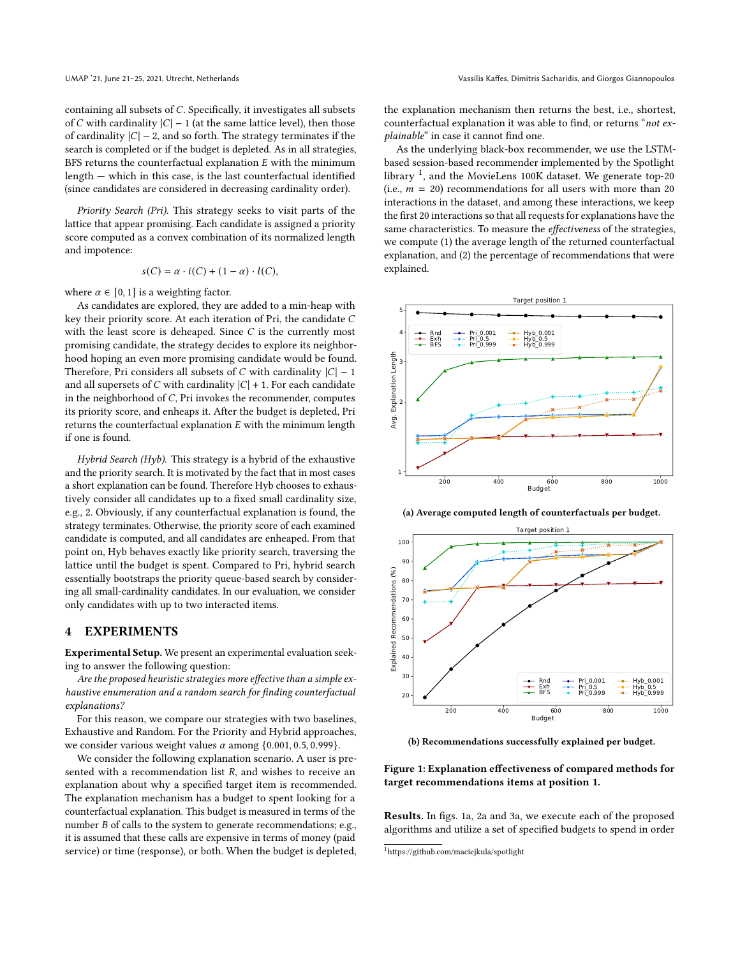containing all subsets of  $C$ . Specifically, it investigates all subsets of C with cardinality  $|C| - 1$  (at the same lattice level), then those of cardinality  $|C| - 2$ , and so forth. The strategy terminates if the search is completed or if the budget is depleted. As in all strategies, BFS returns the counterfactual explanation  $E$  with the minimum length — which in this case, is the last counterfactual identified (since candidates are considered in decreasing cardinality order).

Priority Search (Pri). This strategy seeks to visit parts of the lattice that appear promising. Each candidate is assigned a priority score computed as a convex combination of its normalized length and impotence:

$$
s(C) = \alpha \cdot i(C) + (1 - \alpha) \cdot l(C),
$$

where  $\alpha \in [0, 1]$  is a weighting factor.

As candidates are explored, they are added to a min-heap with key their priority score. At each iteration of Pri, the candidate C with the least score is deheaped. Since  $C$  is the currently most promising candidate, the strategy decides to explore its neighborhood hoping an even more promising candidate would be found. Therefore, Pri considers all subsets of  $C$  with cardinality  $|C| - 1$ and all supersets of  $C$  with cardinality  $|C| + 1$ . For each candidate in the neighborhood of  $C$ , Pri invokes the recommender, computes its priority score, and enheaps it. After the budget is depleted, Pri returns the counterfactual explanation  $E$  with the minimum length if one is found.

Hybrid Search (Hyb). This strategy is a hybrid of the exhaustive and the priority search. It is motivated by the fact that in most cases a short explanation can be found. Therefore Hyb chooses to exhaustively consider all candidates up to a fixed small cardinality size, e.g., 2. Obviously, if any counterfactual explanation is found, the strategy terminates. Otherwise, the priority score of each examined candidate is computed, and all candidates are enheaped. From that point on, Hyb behaves exactly like priority search, traversing the lattice until the budget is spent. Compared to Pri, hybrid search essentially bootstraps the priority queue-based search by considering all small-cardinality candidates. In our evaluation, we consider only candidates with up to two interacted items.

#### <span id="page-3-0"></span>4 EXPERIMENTS

Experimental Setup. We present an experimental evaluation seeking to answer the following question:

Are the proposed heuristic strategies more effective than a simple exhaustive enumeration and a random search for finding counterfactual explanations?

For this reason, we compare our strategies with two baselines, Exhaustive and Random. For the Priority and Hybrid approaches, we consider various weight values  $\alpha$  among  $\{0.001, 0.5, 0.999\}.$ 

We consider the following explanation scenario. A user is presented with a recommendation list  $R$ , and wishes to receive an explanation about why a specified target item is recommended. The explanation mechanism has a budget to spent looking for a counterfactual explanation. This budget is measured in terms of the number  $B$  of calls to the system to generate recommendations; e.g., it is assumed that these calls are expensive in terms of money (paid service) or time (response), or both. When the budget is depleted, the explanation mechanism then returns the best, i.e., shortest, counterfactual explanation it was able to find, or returns "not explainable" in case it cannot find one.

As the underlying black-box recommender, we use the LSTMbased session-based recommender implemented by the Spotlight library<sup>[1](#page-3-1)</sup>, and the MovieLens 100K dataset. We generate top-20 (i.e.,  $m = 20$ ) recommendations for all users with more than 20 interactions in the dataset, and among these interactions, we keep the first 20 interactions so that all requests for explanations have the same characteristics. To measure the effectiveness of the strategies, we compute (1) the average length of the returned counterfactual explanation, and (2) the percentage of recommendations that were explained.

<span id="page-3-2"></span>

(a) Average computed length of counterfactuals per budget.



(b) Recommendations successfully explained per budget.

Figure 1: Explanation effectiveness of compared methods for target recommendations items at position 1.

Results. In figs. [1a,](#page-3-2) [2a](#page-4-0) and [3a,](#page-4-1) we execute each of the proposed algorithms and utilize a set of specified budgets to spend in order

<span id="page-3-1"></span><sup>1</sup><https://github.com/maciejkula/spotlight>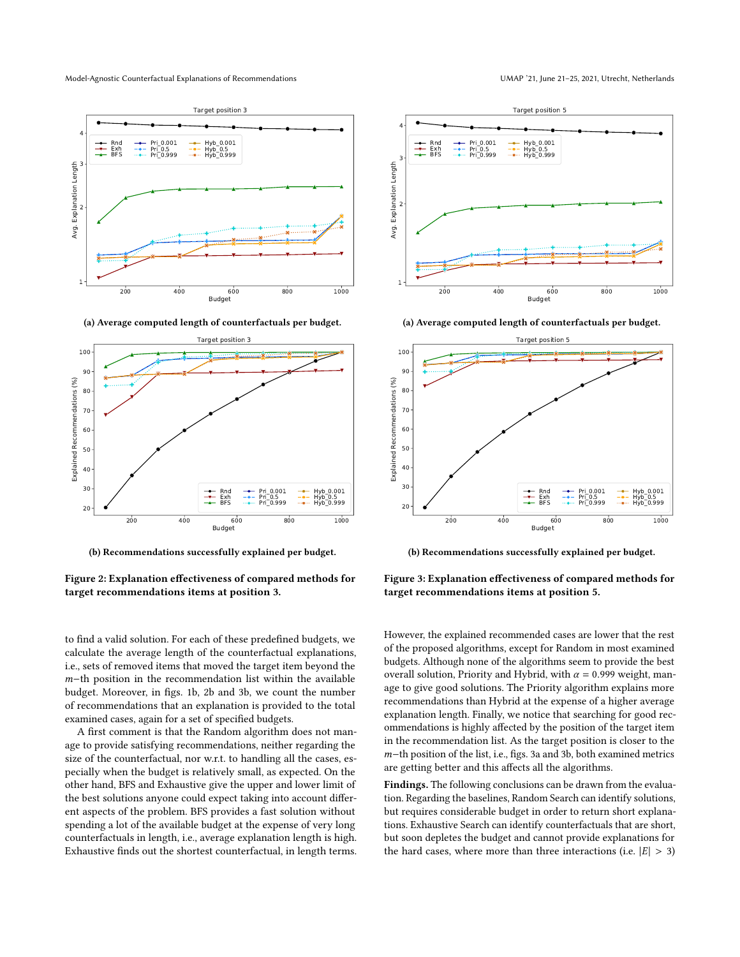<span id="page-4-0"></span>

(a) Average computed length of counterfactuals per budget.



(b) Recommendations successfully explained per budget.

Figure 2: Explanation effectiveness of compared methods for target recommendations items at position 3.

<span id="page-4-1"></span>

(a) Average computed length of counterfactuals per budget.



(b) Recommendations successfully explained per budget.

to find a valid solution. For each of these predefined budgets, we calculate the average length of the counterfactual explanations, i.e., sets of removed items that moved the target item beyond the  $m$ −th position in the recommendation list within the available budget. Moreover, in figs. [1b,](#page-3-2) [2b](#page-4-0) and [3b,](#page-4-1) we count the number of recommendations that an explanation is provided to the total examined cases, again for a set of specified budgets.

A first comment is that the Random algorithm does not manage to provide satisfying recommendations, neither regarding the size of the counterfactual, nor w.r.t. to handling all the cases, especially when the budget is relatively small, as expected. On the other hand, BFS and Exhaustive give the upper and lower limit of the best solutions anyone could expect taking into account different aspects of the problem. BFS provides a fast solution without spending a lot of the available budget at the expense of very long counterfactuals in length, i.e., average explanation length is high. Exhaustive finds out the shortest counterfactual, in length terms.

Figure 3: Explanation effectiveness of compared methods for target recommendations items at position 5.

However, the explained recommended cases are lower that the rest of the proposed algorithms, except for Random in most examined budgets. Although none of the algorithms seem to provide the best overall solution, Priority and Hybrid, with  $\alpha = 0.999$  weight, manage to give good solutions. The Priority algorithm explains more recommendations than Hybrid at the expense of a higher average explanation length. Finally, we notice that searching for good recommendations is highly affected by the position of the target item in the recommendation list. As the target position is closer to the m-th position of the list, i.e., figs. [3a](#page-4-1) and [3b,](#page-4-1) both examined metrics are getting better and this affects all the algorithms.

Findings. The following conclusions can be drawn from the evaluation. Regarding the baselines, Random Search can identify solutions, but requires considerable budget in order to return short explanations. Exhaustive Search can identify counterfactuals that are short, but soon depletes the budget and cannot provide explanations for the hard cases, where more than three interactions (i.e.  $|E| > 3$ )